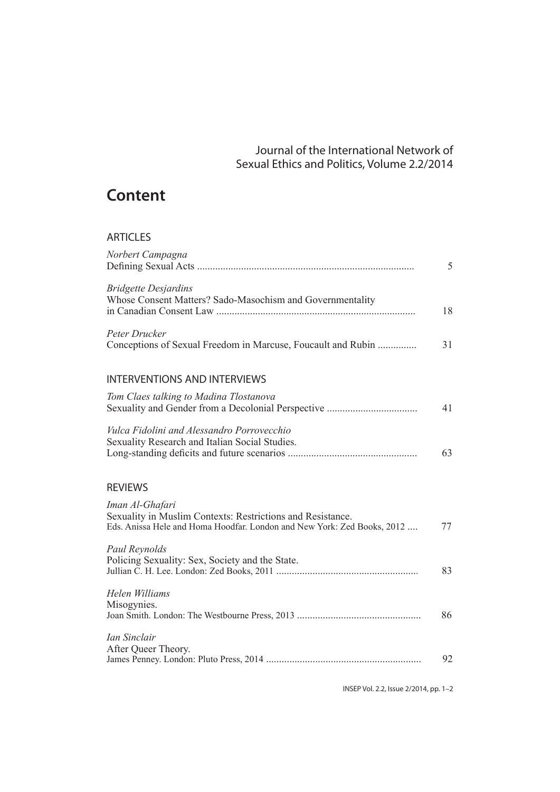## Journal of the International Network of Sexual Ethics and Politics, Volume 2.2/2014

# **Content**

#### ARTICLES

| Norbert Campagna                                                                                                                                         | 5  |
|----------------------------------------------------------------------------------------------------------------------------------------------------------|----|
| <b>Bridgette Desjardins</b><br>Whose Consent Matters? Sado-Masochism and Governmentality                                                                 | 18 |
| Peter Drucker<br>Conceptions of Sexual Freedom in Marcuse, Foucault and Rubin                                                                            | 31 |
| <b>INTERVENTIONS AND INTERVIEWS</b>                                                                                                                      |    |
| Tom Claes talking to Madina Tlostanova                                                                                                                   | 41 |
| Vulca Fidolini and Alessandro Porrovecchio<br>Sexuality Research and Italian Social Studies.                                                             | 63 |
| <b>REVIEWS</b>                                                                                                                                           |    |
| Iman Al-Ghafari<br>Sexuality in Muslim Contexts: Restrictions and Resistance.<br>Eds. Anissa Hele and Homa Hoodfar. London and New York: Zed Books, 2012 | 77 |
| Paul Reynolds<br>Policing Sexuality: Sex, Society and the State.                                                                                         | 83 |
| Helen Williams<br>Misogynies.                                                                                                                            | 86 |
| Ian Sinclair<br>After Queer Theory.                                                                                                                      | 92 |
|                                                                                                                                                          |    |